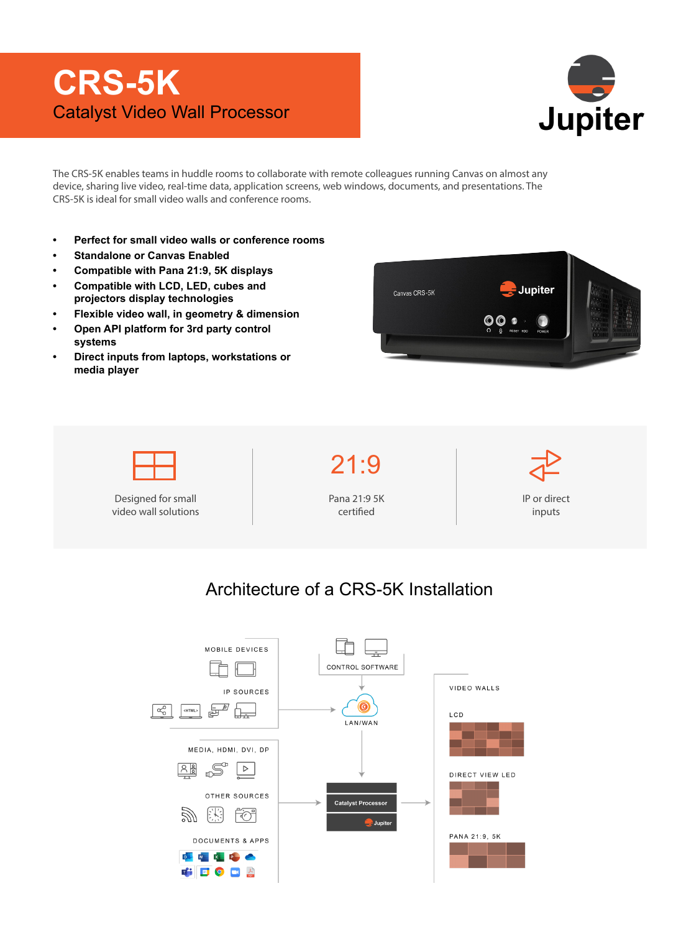## **CRS-5K** Catalyst Video Wall Processor



The CRS-5K enables teams in huddle rooms to collaborate with remote colleagues running Canvas on almost any device, sharing live video, real-time data, application screens, web windows, documents, and presentations. The CRS-5K is ideal for small video walls and conference rooms.

- **• Perfect for small video walls or conference rooms**
- **• Standalone or Canvas Enabled**
- **• Compatible with Pana 21:9, 5K displays**
- **• Compatible with LCD, LED, cubes and projectors display technologies**
- **• Flexible video wall, in geometry & dimension**
- **• Open API platform for 3rd party control systems**
- **• Direct inputs from laptops, workstations or media player**





## Architecture of a CRS-5K Installation